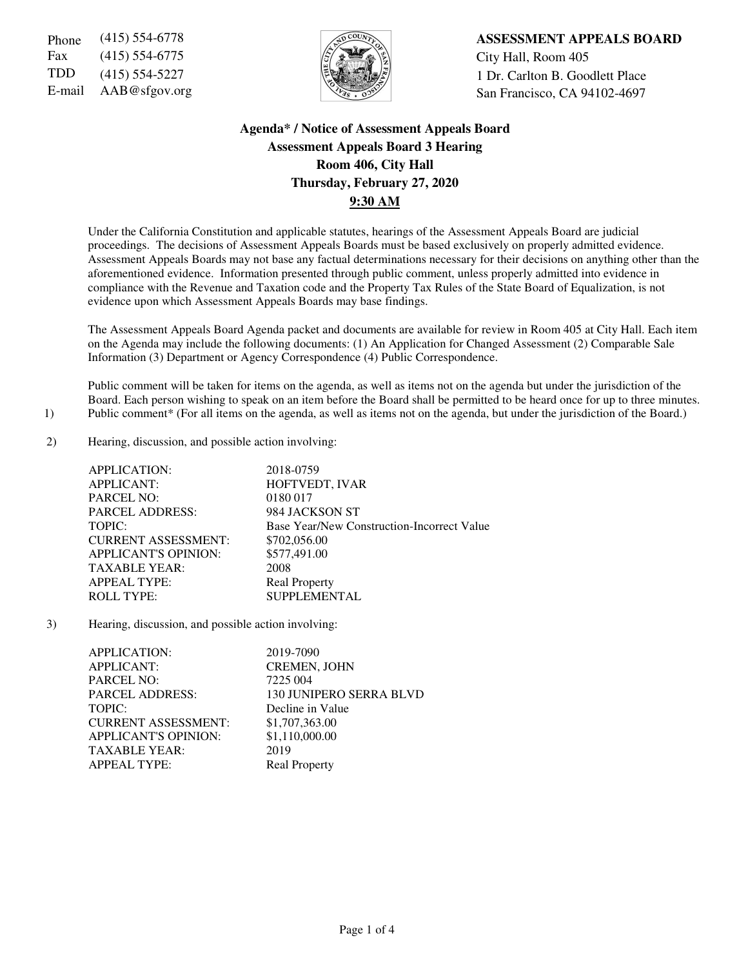Fax (415) 554-6775  $\sqrt{5}$   $\sqrt{2}$   $\sqrt{2}$   $\sqrt{2}$  City Hall, Room 405



Phone (415) 554-6778 **ASSESSMENT APPEALS BOARD** TDD (415) 554-5227  $\left|\frac{1}{2}\right|$  1 Dr. Carlton B. Goodlett Place E-mail AAB@sfgov.org San Francisco, CA 94102-4697

# **Agenda\* / Notice of Assessment Appeals Board Assessment Appeals Board 3 Hearing Room 406, City Hall Thursday, February 27, 2020 9:30 AM**

Under the California Constitution and applicable statutes, hearings of the Assessment Appeals Board are judicial proceedings. The decisions of Assessment Appeals Boards must be based exclusively on properly admitted evidence. Assessment Appeals Boards may not base any factual determinations necessary for their decisions on anything other than the aforementioned evidence. Information presented through public comment, unless properly admitted into evidence in compliance with the Revenue and Taxation code and the Property Tax Rules of the State Board of Equalization, is not evidence upon which Assessment Appeals Boards may base findings.

The Assessment Appeals Board Agenda packet and documents are available for review in Room 405 at City Hall. Each item on the Agenda may include the following documents: (1) An Application for Changed Assessment (2) Comparable Sale Information (3) Department or Agency Correspondence (4) Public Correspondence.

Public comment will be taken for items on the agenda, as well as items not on the agenda but under the jurisdiction of the Board. Each person wishing to speak on an item before the Board shall be permitted to be heard once for up to three minutes. 1) Public comment\* (For all items on the agenda, as well as items not on the agenda, but under the jurisdiction of the Board.)

2) Hearing, discussion, and possible action involving:

| APPLICATION:           |                             | 2018-0759                                  |
|------------------------|-----------------------------|--------------------------------------------|
| <b>APPLICANT:</b>      |                             | HOFTVEDT, IVAR                             |
| <b>PARCEL NO:</b>      |                             | 0180 017                                   |
| <b>PARCEL ADDRESS:</b> |                             | 984 JACKSON ST                             |
| TOPIC:                 |                             | Base Year/New Construction-Incorrect Value |
|                        | <b>CURRENT ASSESSMENT:</b>  | \$702,056.00                               |
|                        | <b>APPLICANT'S OPINION:</b> | \$577,491.00                               |
| <b>TAXABLE YEAR:</b>   |                             | 2008                                       |
| <b>APPEAL TYPE:</b>    |                             | <b>Real Property</b>                       |
| <b>ROLL TYPE:</b>      |                             | <b>SUPPLEMENTAL</b>                        |

3) Hearing, discussion, and possible action involving:

| APPLICATION:                | 2019-7090               |
|-----------------------------|-------------------------|
| <b>APPLICANT:</b>           | CREMEN, JOHN            |
| <b>PARCEL NO:</b>           | 7225 004                |
| <b>PARCEL ADDRESS:</b>      | 130 JUNIPERO SERRA BLVD |
| TOPIC:                      | Decline in Value        |
| <b>CURRENT ASSESSMENT:</b>  | \$1,707,363.00          |
| <b>APPLICANT'S OPINION:</b> | \$1,110,000.00          |
| <b>TAXABLE YEAR:</b>        | 2019                    |
| <b>APPEAL TYPE:</b>         | <b>Real Property</b>    |
|                             |                         |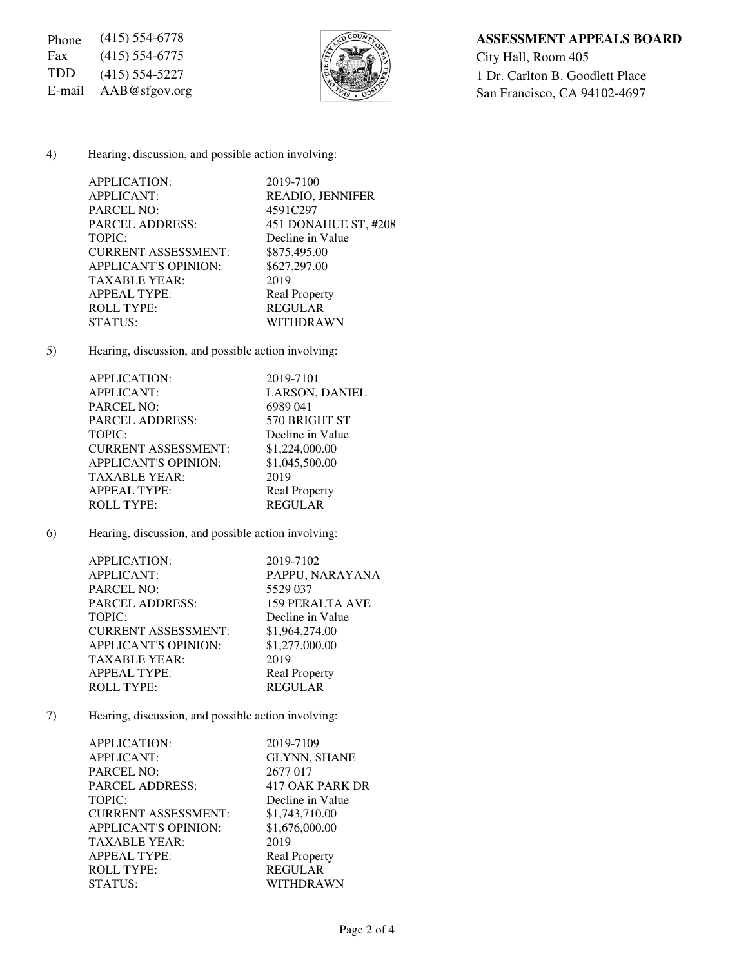Fax (415) 554-6775  $\sqrt{\frac{5}{2}}$  City Hall, Room 405



Phone (415) 554-6778 **ASSESSMENT APPEALS BOARD** TDD (415) 554-5227  $\left[\begin{matrix} 2 \\ 3 \end{matrix}\right]$  1 Dr. Carlton B. Goodlett Place E-mail AAB@sfgov.org San Francisco, CA 94102-4697

#### 4) Hearing, discussion, and possible action involving:

| APPLICATION:                | 2019-7100               |
|-----------------------------|-------------------------|
| <b>APPLICANT:</b>           | <b>READIO, JENNIFER</b> |
| <b>PARCEL NO:</b>           | 4591C297                |
| <b>PARCEL ADDRESS:</b>      | 451 DONAHUE ST, #208    |
| TOPIC:                      | Decline in Value        |
| <b>CURRENT ASSESSMENT:</b>  | \$875,495.00            |
| <b>APPLICANT'S OPINION:</b> | \$627,297.00            |
| <b>TAXABLE YEAR:</b>        | 2019                    |
| <b>APPEAL TYPE:</b>         | <b>Real Property</b>    |
| <b>ROLL TYPE:</b>           | <b>REGULAR</b>          |
| STATUS:                     | WITHDRAWN               |
|                             |                         |

5) Hearing, discussion, and possible action involving:

| APPLICATION:                | 2019-7101             |
|-----------------------------|-----------------------|
| <b>APPLICANT:</b>           | <b>LARSON, DANIEL</b> |
| <b>PARCEL NO:</b>           | 6989041               |
| <b>PARCEL ADDRESS:</b>      | 570 BRIGHT ST         |
| TOPIC:                      | Decline in Value      |
| <b>CURRENT ASSESSMENT:</b>  | \$1,224,000.00        |
| <b>APPLICANT'S OPINION:</b> | \$1,045,500.00        |
| <b>TAXABLE YEAR:</b>        | 2019                  |
| <b>APPEAL TYPE:</b>         | <b>Real Property</b>  |
| <b>ROLL TYPE:</b>           | <b>REGULAR</b>        |
|                             |                       |

6) Hearing, discussion, and possible action involving:

| APPLICATION:                | 2019-7102              |
|-----------------------------|------------------------|
| <b>APPLICANT:</b>           | PAPPU, NARAYANA        |
| <b>PARCEL NO:</b>           | 5529 037               |
| <b>PARCEL ADDRESS:</b>      | <b>159 PERALTA AVE</b> |
| TOPIC:                      | Decline in Value       |
| <b>CURRENT ASSESSMENT:</b>  | \$1,964,274.00         |
| <b>APPLICANT'S OPINION:</b> | \$1,277,000.00         |
| <b>TAXABLE YEAR:</b>        | 2019                   |
| <b>APPEAL TYPE:</b>         | <b>Real Property</b>   |
| <b>ROLL TYPE:</b>           | <b>REGULAR</b>         |

7) Hearing, discussion, and possible action involving:

| APPLICATION:                | 2019-7109            |
|-----------------------------|----------------------|
| <b>APPLICANT:</b>           | <b>GLYNN, SHANE</b>  |
| <b>PARCEL NO:</b>           | 2677 017             |
| <b>PARCEL ADDRESS:</b>      | 417 OAK PARK DR      |
| TOPIC:                      | Decline in Value     |
| <b>CURRENT ASSESSMENT:</b>  | \$1,743,710.00       |
| <b>APPLICANT'S OPINION:</b> | \$1,676,000.00       |
| <b>TAXABLE YEAR:</b>        | 2019                 |
| <b>APPEAL TYPE:</b>         | <b>Real Property</b> |
| <b>ROLL TYPE:</b>           | <b>REGULAR</b>       |
| STATUS:                     | WITHDRAWN            |
|                             |                      |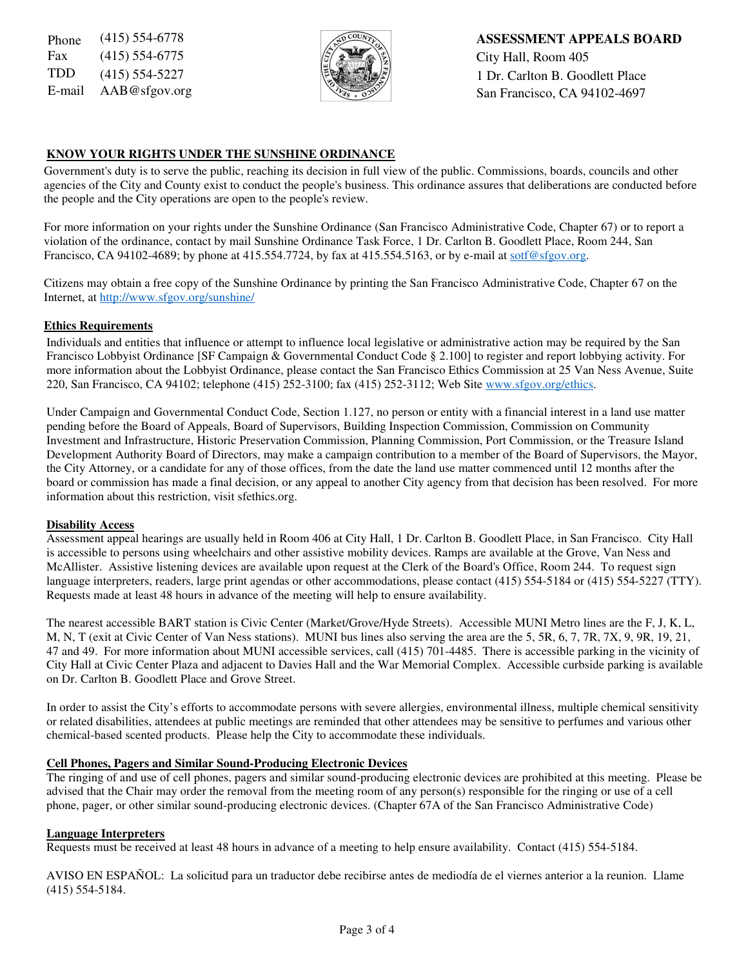Fax (415) 554-6775  $\sqrt{5}$   $\sqrt{2}$   $\sqrt{2}$  City Hall, Room 405



Phone (415) 554-6778 **ASSESSMENT APPEALS BOARD** TDD  $(415)$  554-5227  $\left|\frac{1}{2}\right|$  1 Dr. Carlton B. Goodlett Place E-mail  $AAB@sfgov.org$  San Francisco, CA 94102-4697

## **KNOW YOUR RIGHTS UNDER THE SUNSHINE ORDINANCE**

 Government's duty is to serve the public, reaching its decision in full view of the public. Commissions, boards, councils and other agencies of the City and County exist to conduct the people's business. This ordinance assures that deliberations are conducted before the people and the City operations are open to the people's review.

For more information on your rights under the Sunshine Ordinance (San Francisco Administrative Code, Chapter 67) or to report a violation of the ordinance, contact by mail Sunshine Ordinance Task Force, 1 Dr. Carlton B. Goodlett Place, Room 244, San Francisco, CA 94102-4689; by phone at 415.554.7724, by fax at 415.554.5163, or by e-mail at sotf@sfgov.org.

Citizens may obtain a free copy of the Sunshine Ordinance by printing the San Francisco Administrative Code, Chapter 67 on the Internet, at http://www.sfgov.org/sunshine/

## **Ethics Requirements**

Individuals and entities that influence or attempt to influence local legislative or administrative action may be required by the San Francisco Lobbyist Ordinance [SF Campaign & Governmental Conduct Code § 2.100] to register and report lobbying activity. For more information about the Lobbyist Ordinance, please contact the San Francisco Ethics Commission at 25 Van Ness Avenue, Suite 220, San Francisco, CA 94102; telephone (415) 252-3100; fax (415) 252-3112; Web Site www.sfgov.org/ethics.

Under Campaign and Governmental Conduct Code, Section 1.127, no person or entity with a financial interest in a land use matter pending before the Board of Appeals, Board of Supervisors, Building Inspection Commission, Commission on Community Investment and Infrastructure, Historic Preservation Commission, Planning Commission, Port Commission, or the Treasure Island Development Authority Board of Directors, may make a campaign contribution to a member of the Board of Supervisors, the Mayor, the City Attorney, or a candidate for any of those offices, from the date the land use matter commenced until 12 months after the board or commission has made a final decision, or any appeal to another City agency from that decision has been resolved. For more information about this restriction, visit sfethics.org.

#### **Disability Access**

Assessment appeal hearings are usually held in Room 406 at City Hall, 1 Dr. Carlton B. Goodlett Place, in San Francisco. City Hall is accessible to persons using wheelchairs and other assistive mobility devices. Ramps are available at the Grove, Van Ness and McAllister. Assistive listening devices are available upon request at the Clerk of the Board's Office, Room 244. To request sign language interpreters, readers, large print agendas or other accommodations, please contact (415) 554-5184 or (415) 554-5227 (TTY). Requests made at least 48 hours in advance of the meeting will help to ensure availability.

The nearest accessible BART station is Civic Center (Market/Grove/Hyde Streets). Accessible MUNI Metro lines are the F, J, K, L, M, N, T (exit at Civic Center of Van Ness stations). MUNI bus lines also serving the area are the 5, 5R, 6, 7, 7R, 7X, 9, 9R, 19, 21, 47 and 49. For more information about MUNI accessible services, call (415) 701-4485. There is accessible parking in the vicinity of City Hall at Civic Center Plaza and adjacent to Davies Hall and the War Memorial Complex. Accessible curbside parking is available on Dr. Carlton B. Goodlett Place and Grove Street.

In order to assist the City's efforts to accommodate persons with severe allergies, environmental illness, multiple chemical sensitivity or related disabilities, attendees at public meetings are reminded that other attendees may be sensitive to perfumes and various other chemical-based scented products. Please help the City to accommodate these individuals.

## **Cell Phones, Pagers and Similar Sound-Producing Electronic Devices**

The ringing of and use of cell phones, pagers and similar sound-producing electronic devices are prohibited at this meeting. Please be advised that the Chair may order the removal from the meeting room of any person(s) responsible for the ringing or use of a cell phone, pager, or other similar sound-producing electronic devices. (Chapter 67A of the San Francisco Administrative Code)

#### **Language Interpreters**

Requests must be received at least 48 hours in advance of a meeting to help ensure availability. Contact (415) 554-5184.

AVISO EN ESPAÑOL: La solicitud para un traductor debe recibirse antes de mediodía de el viernes anterior a la reunion. Llame (415) 554-5184.